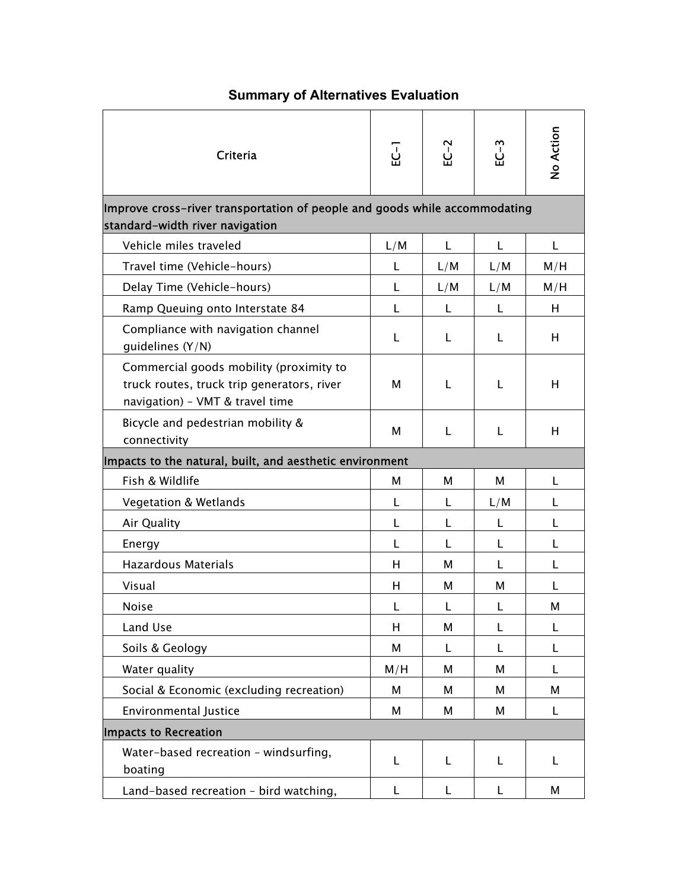## **Summary of Alternatives Evaluation**

| Criteria                                                                                                                 | ដូ  | $E - 2$ | $EC-3$       | No Action |  |  |
|--------------------------------------------------------------------------------------------------------------------------|-----|---------|--------------|-----------|--|--|
| Improve cross-river transportation of people and goods while accommodating<br>standard-width river navigation            |     |         |              |           |  |  |
| Vehicle miles traveled                                                                                                   | L/M | L       | L            | L         |  |  |
| Travel time (Vehicle-hours)                                                                                              | L   | L/M     | L/M          | M/H       |  |  |
| Delay Time (Vehicle-hours)                                                                                               | L   | L/M     | L/M          | M/H       |  |  |
| Ramp Queuing onto Interstate 84                                                                                          | L   | L       | L            | H         |  |  |
| Compliance with navigation channel<br>guidelines $(Y/N)$                                                                 | L   | L       | L            | н         |  |  |
| Commercial goods mobility (proximity to<br>truck routes, truck trip generators, river<br>navigation) - VMT & travel time | м   | L       | L            | н         |  |  |
| Bicycle and pedestrian mobility &<br>connectivity                                                                        | M   | L       | L            | H         |  |  |
| Impacts to the natural, built, and aesthetic environment                                                                 |     |         |              |           |  |  |
| Fish & Wildlife                                                                                                          | м   | м       | М            | L         |  |  |
| <b>Vegetation &amp; Wetlands</b>                                                                                         | L   | L       | L/M          | L         |  |  |
| Air Quality                                                                                                              | L   | L       | L            | L         |  |  |
| Energy                                                                                                                   | L   | L       | L            | L         |  |  |
| <b>Hazardous Materials</b>                                                                                               | н   | м       | $\mathbf{L}$ | L         |  |  |
| Visual                                                                                                                   | н   | М       | М            | L         |  |  |
| <b>Noise</b>                                                                                                             | L   | L       | L            | М         |  |  |
| Land Use                                                                                                                 | Н   | M       | L            | L         |  |  |
| Soils & Geology                                                                                                          | M   | L       | L            | L         |  |  |
| Water quality                                                                                                            | M/H | М       | М            | L         |  |  |
| Social & Economic (excluding recreation)                                                                                 | М   | М       | М            | м         |  |  |
| <b>Environmental Justice</b>                                                                                             | M   | М       | М            | L         |  |  |
| Impacts to Recreation                                                                                                    |     |         |              |           |  |  |
| Water-based recreation - windsurfing,<br>boating                                                                         | L   | L       | L            | L         |  |  |
| Land-based recreation - bird watching,                                                                                   | L   | L       | L            | М         |  |  |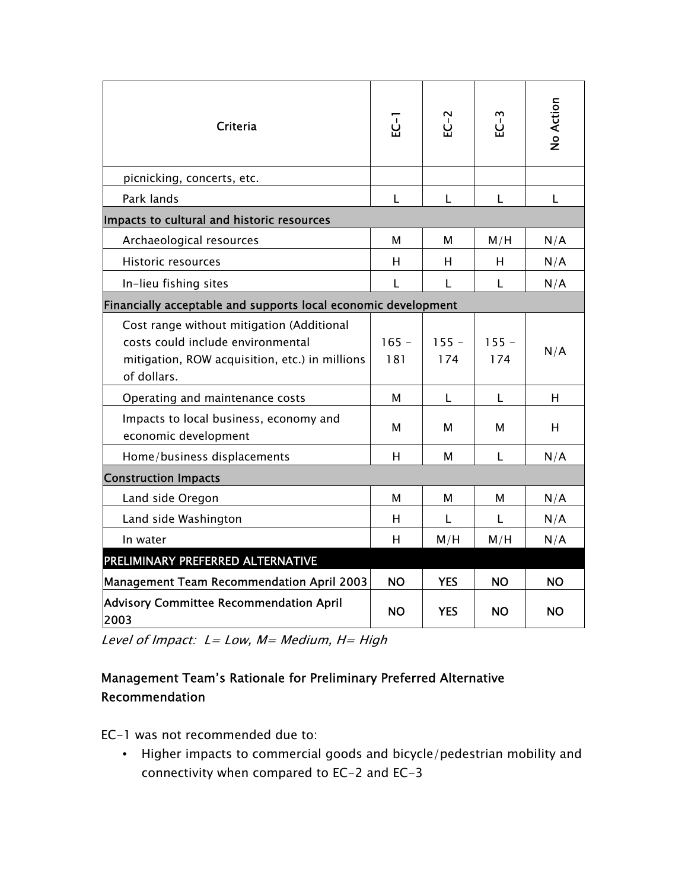| <b>Criteria</b>                                                                                                                                 | <u>.</u><br>요  | EC-2           | <u>ومبع</u>    | No Action |  |  |
|-------------------------------------------------------------------------------------------------------------------------------------------------|----------------|----------------|----------------|-----------|--|--|
| picnicking, concerts, etc.                                                                                                                      |                |                |                |           |  |  |
| Park lands                                                                                                                                      | L              | L              | L              | L         |  |  |
| Impacts to cultural and historic resources                                                                                                      |                |                |                |           |  |  |
| Archaeological resources                                                                                                                        | м              | м              | M/H            | N/A       |  |  |
| <b>Historic resources</b>                                                                                                                       | н              | н              | H              | N/A       |  |  |
| In-lieu fishing sites                                                                                                                           | L              | L              | L              | N/A       |  |  |
| Financially acceptable and supports local economic development                                                                                  |                |                |                |           |  |  |
| Cost range without mitigation (Additional<br>costs could include environmental<br>mitigation, ROW acquisition, etc.) in millions<br>of dollars. | $165 -$<br>181 | $155 -$<br>174 | $155 -$<br>174 | N/A       |  |  |
| Operating and maintenance costs                                                                                                                 | M              | L              | L              | н         |  |  |
| Impacts to local business, economy and<br>economic development                                                                                  | м              | м              | м              | H         |  |  |
| Home/business displacements                                                                                                                     | н              | м              | L              | N/A       |  |  |
| <b>Construction Impacts</b>                                                                                                                     |                |                |                |           |  |  |
| Land side Oregon                                                                                                                                | м              | м              | м              | N/A       |  |  |
| Land side Washington                                                                                                                            | H              | L              | L              | N/A       |  |  |
| In water                                                                                                                                        | н              | M/H            | M/H            | N/A       |  |  |
| PRELIMINARY PREFERRED ALTERNATIVE                                                                                                               |                |                |                |           |  |  |
| <b>Management Team Recommendation April 2003</b>                                                                                                | <b>NO</b>      | <b>YES</b>     | <b>NO</b>      | <b>NO</b> |  |  |
| <b>Advisory Committee Recommendation April</b><br>2003                                                                                          | <b>NO</b>      | <b>YES</b>     | <b>NO</b>      | <b>NO</b> |  |  |

Level of Impact:  $L = Low$ ,  $M = Medium$ ,  $H = High$ 

## Management Teamís Rationale for Preliminary Preferred Alternative Recommendation

EC-1 was not recommended due to:

• Higher impacts to commercial goods and bicycle/pedestrian mobility and connectivity when compared to EC-2 and EC-3